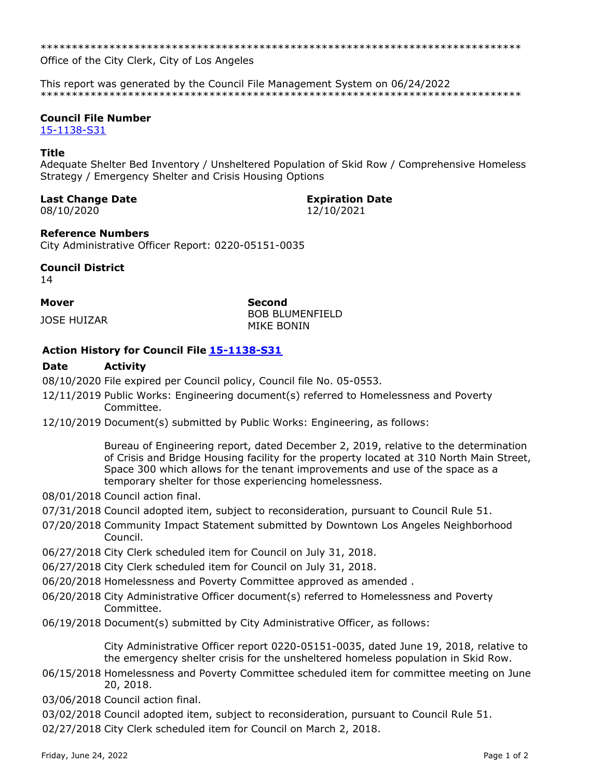Office of the City Clerk, City of Los Angeles

This report was generated by the Council File Management System on 06/24/2022 

#### **Council File Number**

15-1138-S31

#### **Title**

Adequate Shelter Bed Inventory / Unsheltered Population of Skid Row / Comprehensive Homeless Strategy / Emergency Shelter and Crisis Housing Options

#### **Last Change Date**

08/10/2020

# **Expiration Date**

12/10/2021

### **Reference Numbers**

City Administrative Officer Report: 0220-05151-0035

### **Council District**

14

# **Mover**

**JOSE HUIZAR** 

**Second BOB BLUMENFIELD** MIKE BONIN

## Action History for Council File 15-1138-S31

#### **Date Activity**

08/10/2020 File expired per Council policy, Council file No. 05-0553.

- 12/11/2019 Public Works: Engineering document(s) referred to Homelessness and Poverty Committee.
- 12/10/2019 Document(s) submitted by Public Works: Engineering, as follows:

Bureau of Engineering report, dated December 2, 2019, relative to the determination of Crisis and Bridge Housing facility for the property located at 310 North Main Street, Space 300 which allows for the tenant improvements and use of the space as a temporary shelter for those experiencing homelessness.

- 08/01/2018 Council action final.
- 07/31/2018 Council adopted item, subject to reconsideration, pursuant to Council Rule 51.
- 07/20/2018 Community Impact Statement submitted by Downtown Los Angeles Neighborhood Council.
- 06/27/2018 City Clerk scheduled item for Council on July 31, 2018.
- 06/27/2018 City Clerk scheduled item for Council on July 31, 2018.
- 06/20/2018 Homelessness and Poverty Committee approved as amended.
- 06/20/2018 City Administrative Officer document(s) referred to Homelessness and Poverty Committee.
- 06/19/2018 Document(s) submitted by City Administrative Officer, as follows:

City Administrative Officer report 0220-05151-0035, dated June 19, 2018, relative to the emergency shelter crisis for the unsheltered homeless population in Skid Row.

- 06/15/2018 Homelessness and Poverty Committee scheduled item for committee meeting on June 20, 2018.
- 03/06/2018 Council action final.

03/02/2018 Council adopted item, subject to reconsideration, pursuant to Council Rule 51.

02/27/2018 City Clerk scheduled item for Council on March 2, 2018.